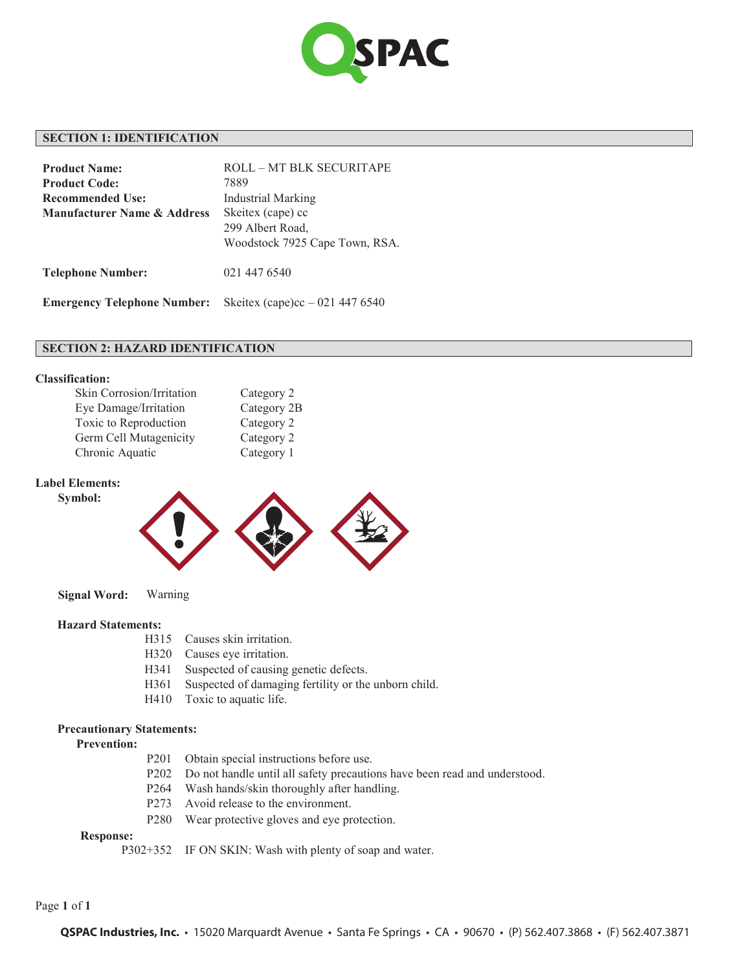

## **SECTION 1: IDENTIFICATION**

| <b>Product Name:</b><br><b>Product Code:</b><br><b>Recommended Use:</b><br><b>Manufacturer Name &amp; Address</b> | <b>ROLL - MT BLK SECURITAPE</b><br>7889<br><b>Industrial Marking</b><br>Skeitex (cape) cc<br>299 Albert Road,<br>Woodstock 7925 Cape Town, RSA. |
|-------------------------------------------------------------------------------------------------------------------|-------------------------------------------------------------------------------------------------------------------------------------------------|
| <b>Telephone Number:</b>                                                                                          | 021 447 6540                                                                                                                                    |
| <b>Emergency Telephone Number:</b>                                                                                | Skeitex (cape)cc $-021$ 447 6540                                                                                                                |

# **SECTION 2: HAZARD IDENTIFICATION**

## **Classification:**

| Skin Corrosion/Irritation | Category 2  |
|---------------------------|-------------|
| Eye Damage/Irritation     | Category 2B |
| Toxic to Reproduction     | Category 2  |
| Germ Cell Mutagenicity    | Category 2  |
| Chronic Aquatic           | Category 1  |

### **Label Elements:**

 **Symbol:**



|  | <b>Signal Word:</b> | Warning |
|--|---------------------|---------|
|--|---------------------|---------|

#### **Hazard Statements:**

- H315 Causes skin irritation.
- H320 Causes eye irritation.
- H341 Suspected of causing genetic defects.
- H361 Suspected of damaging fertility or the unborn child.
- H410 Toxic to aquatic life.

## **Precautionary Statements:**

## **Prevention:**

- P201 Obtain special instructions before use.
- P202 Do not handle until all safety precautions have been read and understood.
- P264 Wash hands/skin thoroughly after handling.
- P273 Avoid release to the environment.
- P280 Wear protective gloves and eye protection.

## **Response:**

P302+352 IF ON SKIN: Wash with plenty of soap and water.

## Page **1** of **1**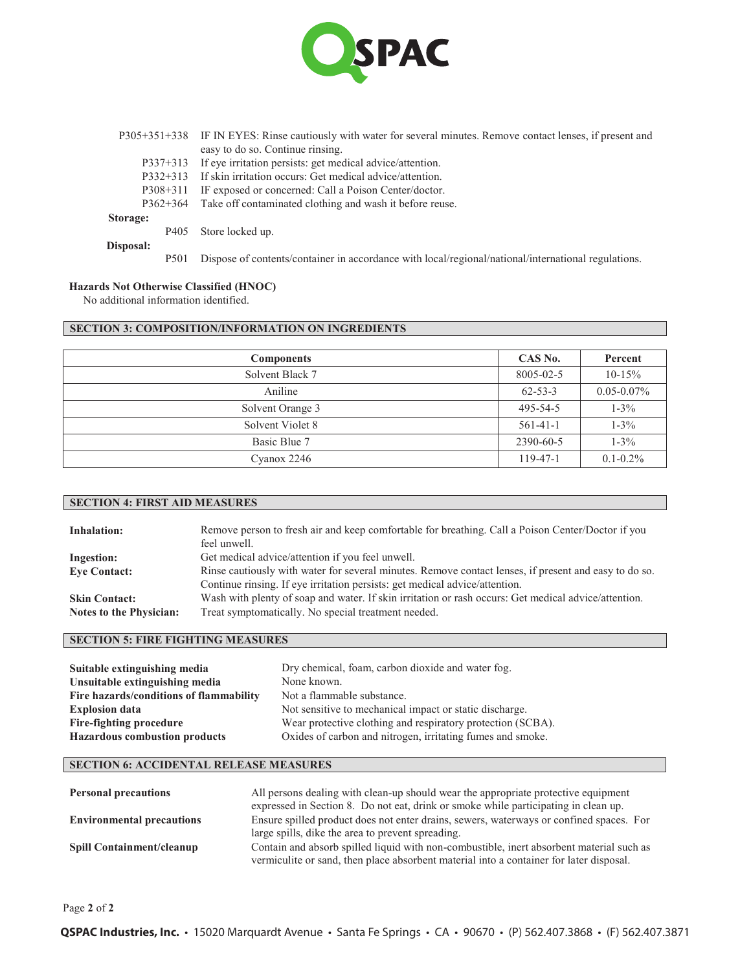

|           | P305+351+338 IF IN EYES: Rinse cautiously with water for several minutes. Remove contact lenses, if present and |
|-----------|-----------------------------------------------------------------------------------------------------------------|
|           | easy to do so. Continue ringing.                                                                                |
|           | P337+313 If eye irritation persists: get medical advice/attention.                                              |
| P332+313  | If skin irritation occurs: Get medical advice/attention.                                                        |
| P308+311  | IF exposed or concerned: Call a Poison Center/doctor.                                                           |
|           | P362+364 Take off contaminated clothing and wash it before reuse.                                               |
| Storage:  |                                                                                                                 |
|           | P405 Store locked up.                                                                                           |
| Disposal: |                                                                                                                 |

P501 Dispose of contents/container in accordance with local/regional/national/international regulations.

## **Hazards Not Otherwise Classified (HNOC)**

No additional information identified.

## **SECTION 3: COMPOSITION/INFORMATION ON INGREDIENTS**

| <b>Components</b> | CAS No.        | Percent         |
|-------------------|----------------|-----------------|
| Solvent Black 7   | 8005-02-5      | $10-15%$        |
| Aniline           | $62 - 53 - 3$  | $0.05 - 0.07\%$ |
| Solvent Orange 3  | 495-54-5       | $1 - 3\%$       |
| Solvent Violet 8  | $561 - 41 - 1$ | $1 - 3\%$       |
| Basic Blue 7      | 2390-60-5      | $1 - 3\%$       |
| Cyanox 2246       | 119-47-1       | $0.1 - 0.2\%$   |

| <b>SECTION 4: FIRST AID MEASURES</b> |                                                                                                       |  |
|--------------------------------------|-------------------------------------------------------------------------------------------------------|--|
|                                      |                                                                                                       |  |
| Inhalation:                          | Remove person to fresh air and keep comfortable for breathing. Call a Poison Center/Doctor if you     |  |
|                                      | feel unwell.                                                                                          |  |
| Ingestion:                           | Get medical advice/attention if you feel unwell.                                                      |  |
| <b>Eve Contact:</b>                  | Rinse cautiously with water for several minutes. Remove contact lenses, if present and easy to do so. |  |
|                                      | Continue rinsing. If eye irritation persists: get medical advice/attention.                           |  |
| <b>Skin Contact:</b>                 | Wash with plenty of soap and water. If skin irritation or rash occurs: Get medical advice/attention.  |  |
| <b>Notes to the Physician:</b>       | Treat symptomatically. No special treatment needed.                                                   |  |

## **SECTION 5: FIRE FIGHTING MEASURES**

| Suitable extinguishing media            | Dry chemical, foam, carbon dioxide and water fog.           |
|-----------------------------------------|-------------------------------------------------------------|
| Unsuitable extinguishing media          | None known.                                                 |
| Fire hazards/conditions of flammability | Not a flammable substance.                                  |
| <b>Explosion data</b>                   | Not sensitive to mechanical impact or static discharge.     |
| Fire-fighting procedure                 | Wear protective clothing and respiratory protection (SCBA). |
| <b>Hazardous combustion products</b>    | Oxides of carbon and nitrogen, irritating fumes and smoke.  |

## **SECTION 6: ACCIDENTAL RELEASE MEASURES**

| <b>Personal precautions</b>      | All persons dealing with clean-up should wear the appropriate protective equipment<br>expressed in Section 8. Do not eat, drink or smoke while participating in clean up.           |
|----------------------------------|-------------------------------------------------------------------------------------------------------------------------------------------------------------------------------------|
| <b>Environmental precautions</b> | Ensure spilled product does not enter drains, sewers, waterways or confined spaces. For<br>large spills, dike the area to prevent spreading.                                        |
| <b>Spill Containment/cleanup</b> | Contain and absorb spilled liquid with non-combustible, inert absorbent material such as<br>vermiculity or sand, then place absorbent material into a container for later disposal. |

Page **2** of **2**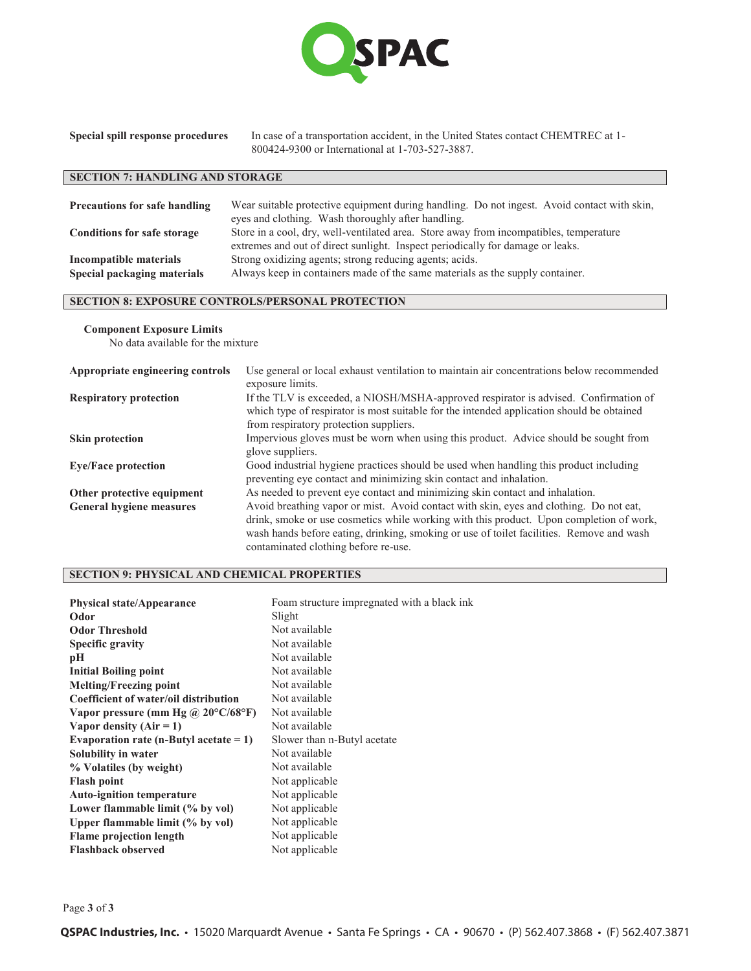

**Special spill response procedures** In case of a transportation accident, in the United States contact CHEMTREC at 1-800424-9300 or International at 1-703-527-3887.

## **SECTION 7: HANDLING AND STORAGE**

| <b>Precautions for safe handling</b>                  | Wear suitable protective equipment during handling. Do not ingest. Avoid contact with skin,<br>eyes and clothing. Wash thoroughly after handling.                        |
|-------------------------------------------------------|--------------------------------------------------------------------------------------------------------------------------------------------------------------------------|
| <b>Conditions for safe storage</b>                    | Store in a cool, dry, well-ventilated area. Store away from incompatibles, temperature<br>extremes and out of direct sunlight. Inspect periodically for damage or leaks. |
| Incompatible materials<br>Special packaging materials | Strong oxidizing agents; strong reducing agents; acids.<br>Always keep in containers made of the same materials as the supply container.                                 |

### **SECTION 8: EXPOSURE CONTROLS/PERSONAL PROTECTION**

#### **Component Exposure Limits**

No data available for the mixture

| Appropriate engineering controls | Use general or local exhaust ventilation to maintain air concentrations below recommended<br>exposure limits.                                                                                                                                                                                                         |
|----------------------------------|-----------------------------------------------------------------------------------------------------------------------------------------------------------------------------------------------------------------------------------------------------------------------------------------------------------------------|
| <b>Respiratory protection</b>    | If the TLV is exceeded, a NIOSH/MSHA-approved respirator is advised. Confirmation of<br>which type of respirator is most suitable for the intended application should be obtained<br>from respiratory protection suppliers.                                                                                           |
| Skin protection                  | Impervious gloves must be worn when using this product. Advice should be sought from<br>glove suppliers.                                                                                                                                                                                                              |
| <b>Eye/Face protection</b>       | Good industrial hygiene practices should be used when handling this product including<br>preventing eye contact and minimizing skin contact and inhalation.                                                                                                                                                           |
| Other protective equipment       | As needed to prevent eye contact and minimizing skin contact and inhalation.                                                                                                                                                                                                                                          |
| General hygiene measures         | Avoid breathing vapor or mist. Avoid contact with skin, eyes and clothing. Do not eat,<br>drink, smoke or use cosmetics while working with this product. Upon completion of work,<br>wash hands before eating, drinking, smoking or use of toilet facilities. Remove and wash<br>contaminated clothing before re-use. |

## **SECTION 9: PHYSICAL AND CHEMICAL PROPERTIES**

| <b>Physical state/Appearance</b>                        | Foam structure impregnated with a black ink |
|---------------------------------------------------------|---------------------------------------------|
| Odor                                                    | Slight                                      |
| <b>Odor Threshold</b>                                   | Not available                               |
| <b>Specific gravity</b>                                 | Not available                               |
| рH                                                      | Not available                               |
| <b>Initial Boiling point</b>                            | Not available                               |
| <b>Melting/Freezing point</b>                           | Not available                               |
| Coefficient of water/oil distribution                   | Not available                               |
| Vapor pressure (mm Hg @ 20 $\rm ^{o}C/68$ $\rm ^{o}F$ ) | Not available                               |
| Vapor density $(Air = 1)$                               | Not available                               |
| Evaporation rate (n-Butyl acetate $= 1$ )               | Slower than n-Butyl acetate                 |
| Solubility in water                                     | Not available                               |
| % Volatiles (by weight)                                 | Not available                               |
| <b>Flash point</b>                                      | Not applicable                              |
| <b>Auto-ignition temperature</b>                        | Not applicable                              |
| Lower flammable limit (% by vol)                        | Not applicable                              |
| Upper flammable limit (% by vol)                        | Not applicable                              |
| <b>Flame projection length</b>                          | Not applicable                              |
| <b>Flashback observed</b>                               | Not applicable                              |

Page **3** of **3**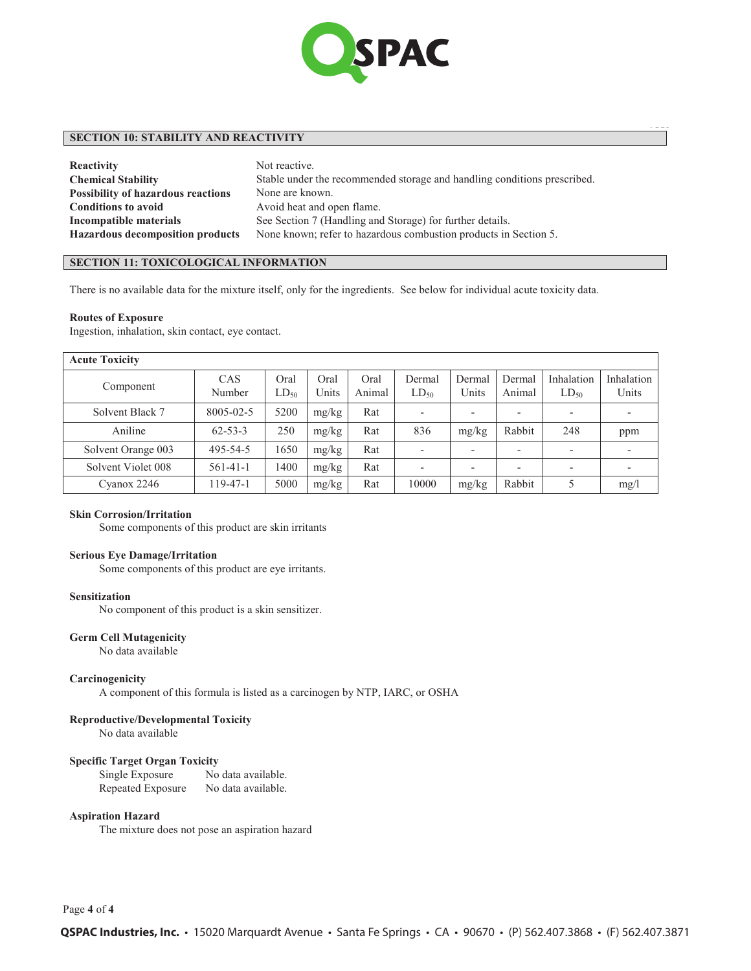

. دە

## **SECTION 10: STABILITY AND REACTIVITY**

| Reactivity                                | Not reactive.                                                            |
|-------------------------------------------|--------------------------------------------------------------------------|
| <b>Chemical Stability</b>                 | Stable under the recommended storage and handling conditions prescribed. |
| <b>Possibility of hazardous reactions</b> | None are known.                                                          |
| <b>Conditions to avoid</b>                | Avoid heat and open flame.                                               |
| Incompatible materials                    | See Section 7 (Handling and Storage) for further details.                |
| <b>Hazardous decomposition products</b>   | None known; refer to hazardous combustion products in Section 5.         |

## **SECTION 11: TOXICOLOGICAL INFORMATION**

There is no available data for the mixture itself, only for the ingredients. See below for individual acute toxicity data.

#### **Routes of Exposure**

Ingestion, inhalation, skin contact, eye contact.

| <b>Acute Toxicity</b> |                 |                   |               |                |                          |                          |                          |                         |                     |
|-----------------------|-----------------|-------------------|---------------|----------------|--------------------------|--------------------------|--------------------------|-------------------------|---------------------|
| Component             | CAS<br>Number   | Oral<br>$LD_{50}$ | Oral<br>Units | Oral<br>Animal | Dermal<br>$LD_{50}$      | Dermal<br>Units          | Dermal<br>Animal         | Inhalation<br>$LD_{50}$ | Inhalation<br>Units |
| Solvent Black 7       | $8005 - 02 - 5$ | 5200              | mg/kg         | Rat            | $\overline{\phantom{a}}$ | $\overline{\phantom{a}}$ | $\overline{\phantom{a}}$ |                         | -                   |
| Aniline               | $62 - 53 - 3$   | 250               | mg/kg         | Rat            | 836                      | mg/kg                    | Rabbit                   | 248                     | ppm                 |
| Solvent Orange 003    | 495-54-5        | 1650              | mg/kg         | Rat            |                          | ۰                        | $\overline{\phantom{a}}$ |                         |                     |
| Solvent Violet 008    | $561 - 41 - 1$  | 1400              | mg/kg         | Rat            | $\overline{\phantom{a}}$ | $\overline{\phantom{a}}$ | $\overline{\phantom{a}}$ |                         | -                   |
| Cyanox 2246           | 119-47-1        | 5000              | mg/kg         | Rat            | 10000                    | mg/kg                    | Rabbit                   | 5                       | mg/l                |

#### **Skin Corrosion/Irritation**

Some components of this product are skin irritants

### **Serious Eye Damage/Irritation**

Some components of this product are eye irritants.

#### **Sensitization**

No component of this product is a skin sensitizer.

#### **Germ Cell Mutagenicity**

No data available

#### **Carcinogenicity**

A component of this formula is listed as a carcinogen by NTP, IARC, or OSHA

## **Reproductive/Developmental Toxicity**

No data available

## **Specific Target Organ Toxicity**

Single Exposure No data available.<br>Repeated Exposure No data available. Repeated Exposure

#### **Aspiration Hazard**

The mixture does not pose an aspiration hazard

Page **4** of **4**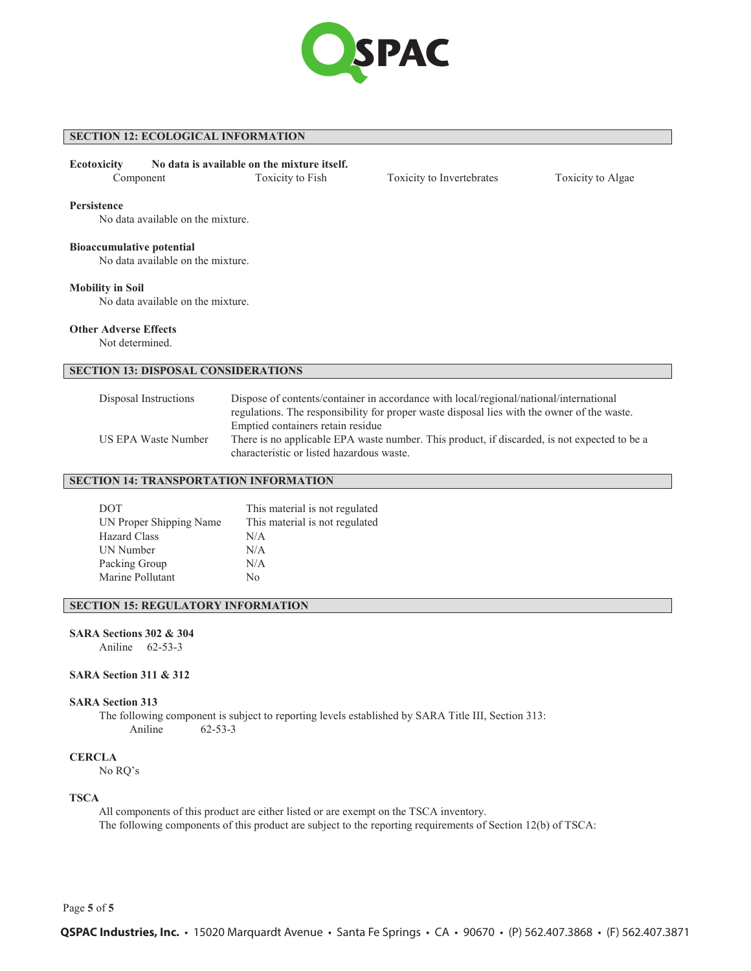

## **SECTION 12: ECOLOGICAL INFORMATION**

#### **Ecotoxicity No data is available on the mixture itself.**

Component Toxicity to Fish Toxicity to Invertebrates Toxicity to Algae

#### **Persistence**

No data available on the mixture.

#### **Bioaccumulative potential**

No data available on the mixture.

#### **Mobility in Soil**

No data available on the mixture.

#### **Other Adverse Effects**

Not determined.

## **SECTION 13: DISPOSAL CONSIDERATIONS**

| Disposal Instructions | Dispose of contents/container in accordance with local/regional/national/international       |  |  |  |
|-----------------------|----------------------------------------------------------------------------------------------|--|--|--|
|                       | regulations. The responsibility for proper waste disposal lies with the owner of the waste.  |  |  |  |
|                       | Emptied containers retain residue                                                            |  |  |  |
| US EPA Waste Number   | There is no applicable EPA waste number. This product, if discarded, is not expected to be a |  |  |  |
|                       | characteristic or listed hazardous waste.                                                    |  |  |  |

## **SECTION 14: TRANSPORTATION INFORMATION**

| <b>DOT</b>              | This material is not regulated |
|-------------------------|--------------------------------|
| UN Proper Shipping Name | This material is not regulated |
| <b>Hazard Class</b>     | N/A                            |
| UN Number               | N/A                            |
| Packing Group           | N/A                            |
| Marine Pollutant        | Nο                             |
|                         |                                |

## **SECTION 15: REGULATORY INFORMATION**

#### **SARA Sections 302 & 304**

Aniline 62-53-3

## **SARA Section 311 & 312**

#### **SARA Section 313**

The following component is subject to reporting levels established by SARA Title III, Section 313:<br>Aniline 62-53-3 Aniline 62-53-3

## **CERCLA**

No RQ's

### **TSCA**

All components of this product are either listed or are exempt on the TSCA inventory. The following components of this product are subject to the reporting requirements of Section 12(b) of TSCA:

## Page **5** of **5**